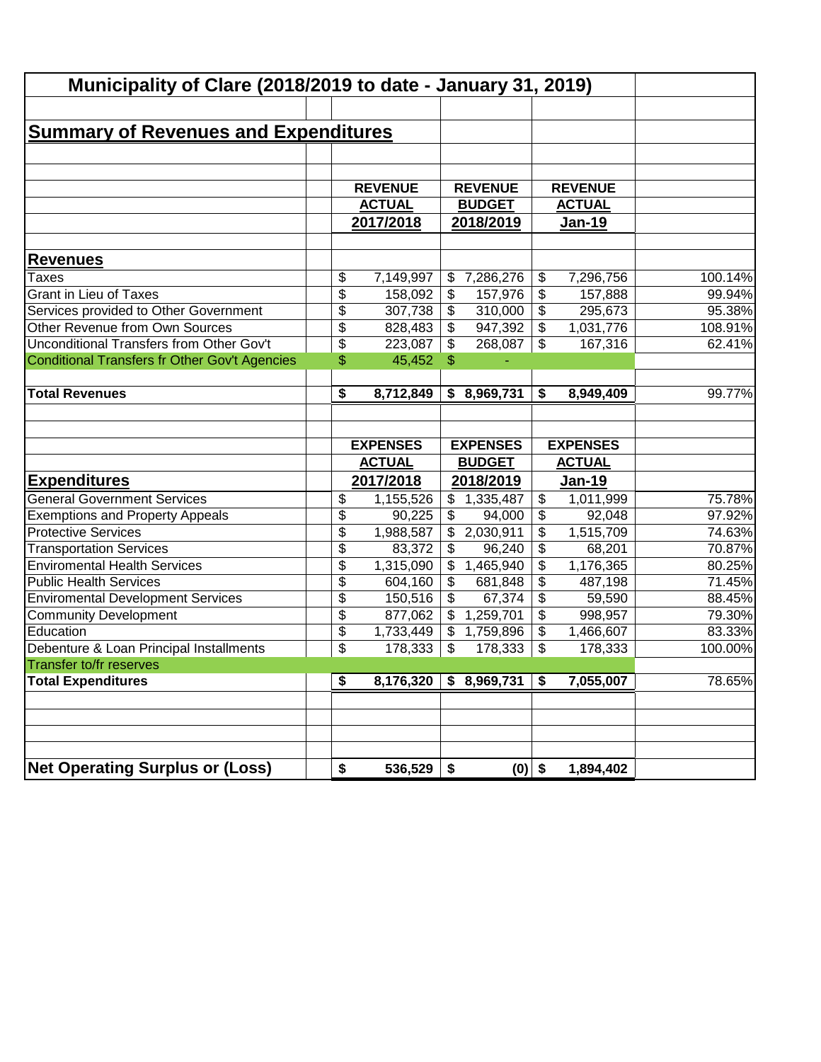| Municipality of Clare (2018/2019 to date - January 31, 2019) |                 |                           |                           |                           |                 |         |
|--------------------------------------------------------------|-----------------|---------------------------|---------------------------|---------------------------|-----------------|---------|
|                                                              |                 |                           |                           |                           |                 |         |
| <b>Summary of Revenues and Expenditures</b>                  |                 |                           |                           |                           |                 |         |
|                                                              |                 |                           |                           |                           |                 |         |
|                                                              |                 |                           |                           |                           |                 |         |
|                                                              | <b>REVENUE</b>  |                           | <b>REVENUE</b>            |                           | <b>REVENUE</b>  |         |
|                                                              | <b>ACTUAL</b>   |                           | <b>BUDGET</b>             |                           | <b>ACTUAL</b>   |         |
|                                                              | 2017/2018       |                           | 2018/2019                 |                           | <b>Jan-19</b>   |         |
| <b>Revenues</b>                                              |                 |                           |                           |                           |                 |         |
| <b>Taxes</b>                                                 | \$<br>7,149,997 |                           | \$7,286,276               | \$                        | 7,296,756       | 100.14% |
| <b>Grant in Lieu of Taxes</b>                                | \$<br>158,092   | \$                        | 157,976                   | \$                        | 157,888         | 99.94%  |
| Services provided to Other Government                        | \$<br>307,738   | \$                        | 310,000                   | $\boldsymbol{\mathsf{S}}$ | 295,673         | 95.38%  |
| Other Revenue from Own Sources                               | \$<br>828,483   | \$                        | 947,392                   | \$                        | 1,031,776       | 108.91% |
| Unconditional Transfers from Other Gov't                     | \$<br>223,087   | \$                        | 268,087                   | \$                        | 167,316         | 62.41%  |
| Conditional Transfers fr Other Gov't Agencies                | \$<br>45,452    | \$                        |                           |                           |                 |         |
| <b>Total Revenues</b>                                        |                 |                           |                           | \$                        |                 |         |
|                                                              | \$<br>8,712,849 |                           | \$8,969,731               |                           | 8,949,409       | 99.77%  |
|                                                              |                 |                           |                           |                           |                 |         |
|                                                              | <b>EXPENSES</b> |                           | <b>EXPENSES</b>           |                           | <b>EXPENSES</b> |         |
|                                                              | <b>ACTUAL</b>   |                           | <b>BUDGET</b>             |                           | <b>ACTUAL</b>   |         |
| <b>Expenditures</b>                                          | 2017/2018       |                           | 2018/2019                 |                           | <b>Jan-19</b>   |         |
| <b>General Government Services</b>                           | \$<br>1,155,526 |                           | \$1,335,487               | \$                        | 1,011,999       | 75.78%  |
| <b>Exemptions and Property Appeals</b>                       | \$<br>90,225    | \$                        | 94,000                    | \$                        | 92,048          | 97.92%  |
| <b>Protective Services</b>                                   | \$<br>1,988,587 | \$                        | 2,030,911                 | \$                        | 1,515,709       | 74.63%  |
| <b>Transportation Services</b>                               | \$<br>83,372    | \$                        | 96,240                    | \$                        | 68,201          | 70.87%  |
| <b>Enviromental Health Services</b>                          | \$<br>1,315,090 | $\frac{1}{2}$             | 1,465,940                 | \$                        | 1,176,365       | 80.25%  |
| <b>Public Health Services</b>                                | \$<br>604,160   | \$                        | 681,848                   | $\boldsymbol{\mathsf{S}}$ | 487,198         | 71.45%  |
| <b>Enviromental Development Services</b>                     | \$<br>150,516   | $\boldsymbol{\mathsf{S}}$ | 67,374                    | $\boldsymbol{\mathsf{S}}$ | 59,590          | 88.45%  |
| <b>Community Development</b>                                 | \$<br>877,062   | \$                        | 1,259,701                 | $\boldsymbol{\mathsf{S}}$ | 998,957         | 79.30%  |
| Education                                                    | \$<br>1,733,449 |                           | $\overline{\$}$ 1,759,896 | $\boldsymbol{\mathsf{S}}$ | 1,466,607       | 83.33%  |
| Debenture & Loan Principal Installments                      | \$<br>178,333   | \$                        | 178,333                   | \$                        | 178,333         | 100.00% |
| Transfer to/fr reserves                                      |                 |                           |                           |                           |                 |         |
| <b>Total Expenditures</b>                                    | \$<br>8,176,320 |                           | \$8,969,731               | \$                        | 7,055,007       | 78.65%  |
|                                                              |                 |                           |                           |                           |                 |         |
|                                                              |                 |                           |                           |                           |                 |         |
| <b>Net Operating Surplus or (Loss)</b>                       | \$<br>536,529   | \$                        | $(0)$ \$                  |                           | 1,894,402       |         |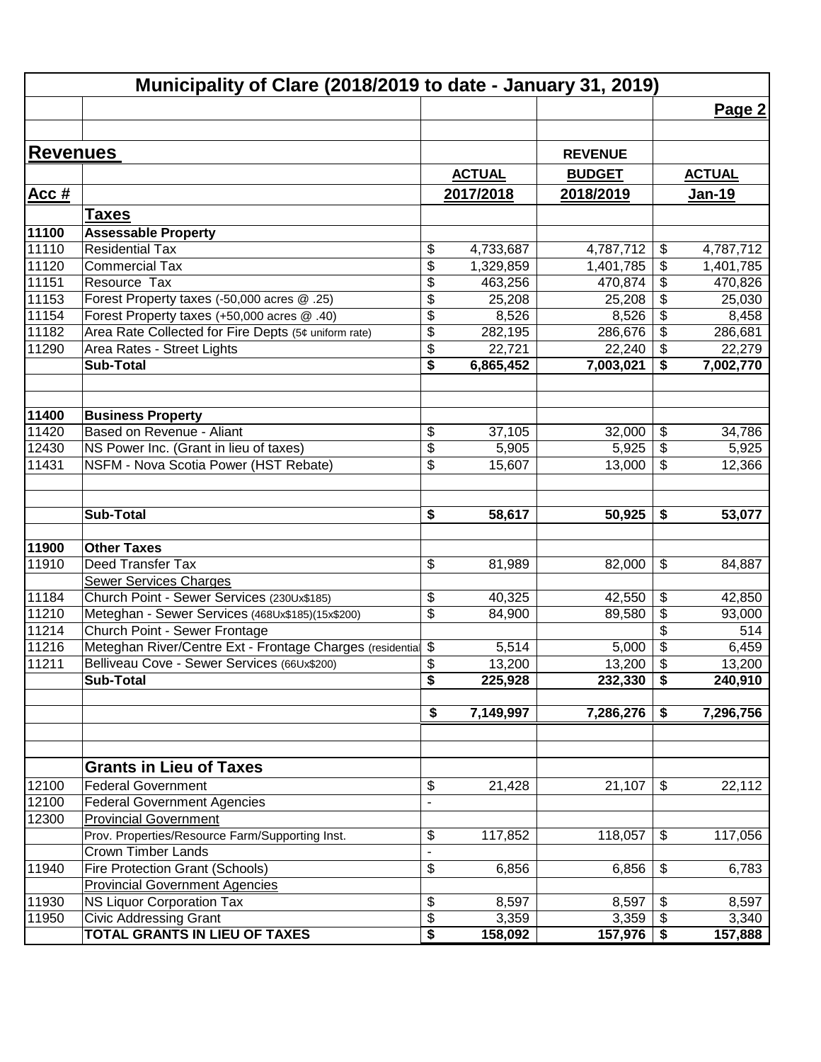|                 | Municipality of Clare (2018/2019 to date - January 31, 2019) |                            |               |                |                            |               |
|-----------------|--------------------------------------------------------------|----------------------------|---------------|----------------|----------------------------|---------------|
|                 |                                                              |                            |               |                |                            | Page 2        |
|                 |                                                              |                            |               |                |                            |               |
| <b>Revenues</b> |                                                              |                            |               | <b>REVENUE</b> |                            |               |
|                 |                                                              |                            | <b>ACTUAL</b> | <b>BUDGET</b>  |                            | <b>ACTUAL</b> |
| <b>Acc#</b>     |                                                              |                            | 2017/2018     | 2018/2019      |                            | Jan-19        |
|                 |                                                              |                            |               |                |                            |               |
| 11100           | Taxes<br><b>Assessable Property</b>                          |                            |               |                |                            |               |
| 11110           | <b>Residential Tax</b>                                       | \$                         | 4,733,687     | 4,787,712      | \$                         | 4,787,712     |
| 11120           | <b>Commercial Tax</b>                                        | \$                         | 1,329,859     | 1,401,785      | \$                         | 1,401,785     |
| 11151           | Resource Tax                                                 | \$                         | 463,256       | 470,874        | \$                         | 470,826       |
| 11153           | Forest Property taxes (-50,000 acres @ .25)                  | \$                         | 25,208        | 25,208         | \$                         | 25,030        |
| 11154           | Forest Property taxes (+50,000 acres @ .40)                  | \$                         | 8,526         | 8,526          | $\frac{1}{2}$              | 8,458         |
| 11182           | Area Rate Collected for Fire Depts (5¢ uniform rate)         | \$                         | 282,195       | 286,676        | \$                         | 286,681       |
| 11290           | Area Rates - Street Lights                                   | $\overline{\$}$            | 22,721        | 22,240         | \$                         | 22,279        |
|                 | <b>Sub-Total</b>                                             | \$                         | 6,865,452     | 7,003,021      | \$                         | 7,002,770     |
|                 |                                                              |                            |               |                |                            |               |
| 11400           | <b>Business Property</b>                                     |                            |               |                |                            |               |
| 11420           | Based on Revenue - Aliant                                    | \$                         | 37,105        | 32,000         | \$                         | 34,786        |
| 12430           | NS Power Inc. (Grant in lieu of taxes)                       | \$                         | 5,905         | 5,925          | \$                         | 5,925         |
| 11431           | NSFM - Nova Scotia Power (HST Rebate)                        | \$                         | 15,607        | 13,000         | \$                         | 12,366        |
|                 |                                                              |                            |               |                |                            |               |
|                 | <b>Sub-Total</b>                                             | \$                         | 58,617        | 50,925         | \$                         | 53,077        |
| 11900           | <b>Other Taxes</b>                                           |                            |               |                |                            |               |
| 11910           | Deed Transfer Tax                                            | \$                         | 81,989        | 82,000         | \$                         | 84,887        |
|                 | Sewer Services Charges                                       |                            |               |                |                            |               |
| 11184           | Church Point - Sewer Services (230Ux\$185)                   | \$                         | 40,325        | 42,550         | $\boldsymbol{\mathsf{S}}$  | 42,850        |
| 11210           | Meteghan - Sewer Services (468Ux\$185)(15x\$200)             | \$                         | 84,900        | 89,580         | \$                         | 93,000        |
| 11214           | Church Point - Sewer Frontage                                |                            |               |                | \$                         | 514           |
| 11216           | Meteghan River/Centre Ext - Frontage Charges (residential    | $\boldsymbol{\mathsf{S}}$  | 5,514         | 5,000          | \$                         | 6,459         |
| 11211           | Belliveau Cove - Sewer Services (66Ux\$200)                  | \$                         | 13,200        | 13,200         | \$                         | 13,200        |
|                 | <b>Sub-Total</b>                                             | $\overline{\$}$            | 225,928       | 232,330        | \$                         | 240,910       |
|                 |                                                              | $\overline{\bullet}$       | 7,149,997     | 7,286,276      | \$                         | 7,296,756     |
|                 |                                                              |                            |               |                |                            |               |
|                 | <b>Grants in Lieu of Taxes</b>                               |                            |               |                |                            |               |
| 12100           | <b>Federal Government</b>                                    | \$                         | 21,428        | 21,107         | $\boldsymbol{\mathsf{\$}}$ | 22,112        |
| 12100           | <b>Federal Government Agencies</b>                           | $\overline{\phantom{a}}$   |               |                |                            |               |
| 12300           | <b>Provincial Government</b>                                 |                            |               |                |                            |               |
|                 | Prov. Properties/Resource Farm/Supporting Inst.              | $\boldsymbol{\mathsf{\$}}$ | 117,852       | 118,057        | $\boldsymbol{\mathsf{\$}}$ | 117,056       |
|                 | <b>Crown Timber Lands</b>                                    | $\frac{1}{2}$              |               |                |                            |               |
| 11940           | <b>Fire Protection Grant (Schools)</b>                       | \$                         | 6,856         | 6,856          | $\boldsymbol{\mathsf{S}}$  | 6,783         |
|                 | <b>Provincial Government Agencies</b>                        |                            |               |                |                            |               |
| 11930           | NS Liquor Corporation Tax                                    | \$                         | 8,597         | 8,597          | \$                         | 8,597         |
| 11950           | <b>Civic Addressing Grant</b>                                | \$                         | 3,359         | 3,359          | \$                         | 3,340         |
|                 | <b>TOTAL GRANTS IN LIEU OF TAXES</b>                         | \$                         | 158,092       | 157,976        | \$                         | 157,888       |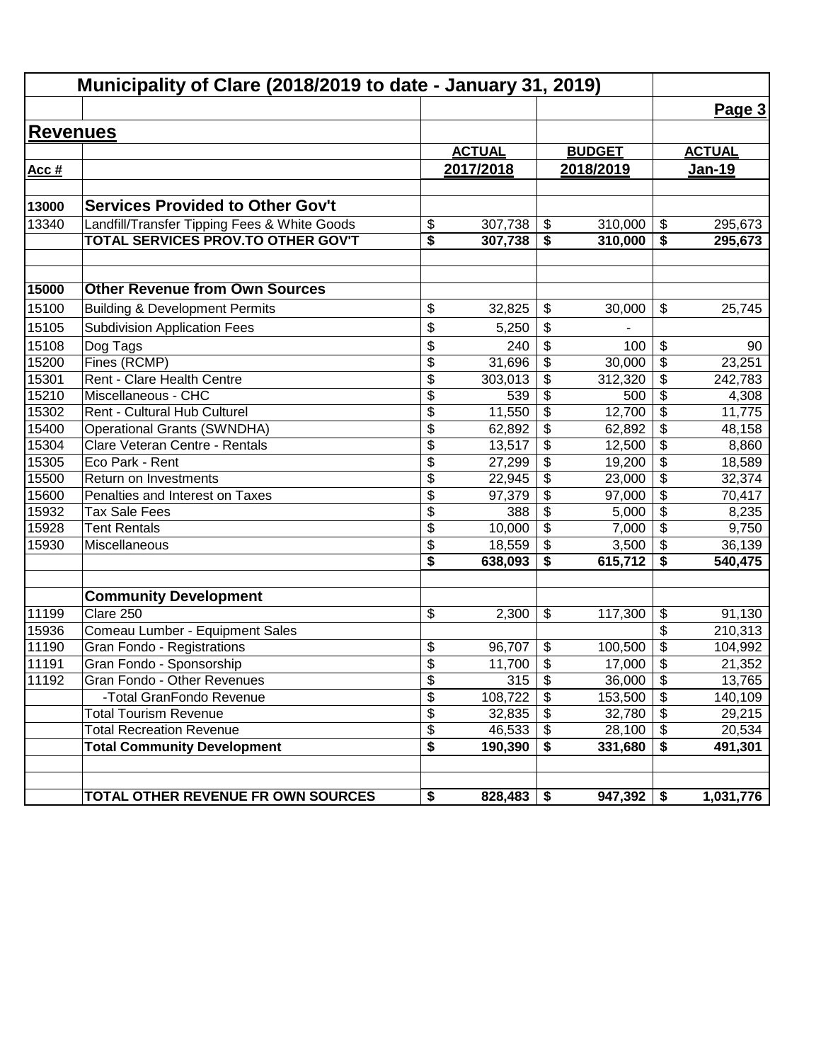| Municipality of Clare (2018/2019 to date - January 31, 2019) |                                              |                           |               |                           |               |                                        |               |
|--------------------------------------------------------------|----------------------------------------------|---------------------------|---------------|---------------------------|---------------|----------------------------------------|---------------|
|                                                              |                                              |                           |               |                           |               |                                        | Page 3        |
| <b>Revenues</b>                                              |                                              |                           |               |                           |               |                                        |               |
|                                                              |                                              |                           | <b>ACTUAL</b> |                           | <b>BUDGET</b> |                                        | <b>ACTUAL</b> |
| Acc #                                                        |                                              |                           | 2017/2018     |                           | 2018/2019     |                                        | <u>Jan-19</u> |
|                                                              |                                              |                           |               |                           |               |                                        |               |
| 13000                                                        | <b>Services Provided to Other Gov't</b>      |                           |               |                           |               |                                        |               |
| 13340                                                        | Landfill/Transfer Tipping Fees & White Goods | \$                        | 307,738       | \$                        | 310,000       | \$                                     | 295,673       |
|                                                              | TOTAL SERVICES PROV.TO OTHER GOV'T           | \$                        | 307,738       | \$                        | 310,000       | \$                                     | 295,673       |
|                                                              |                                              |                           |               |                           |               |                                        |               |
| 15000                                                        | <b>Other Revenue from Own Sources</b>        |                           |               |                           |               |                                        |               |
| 15100                                                        | <b>Building &amp; Development Permits</b>    | \$                        | 32,825        | \$                        | 30,000        | \$                                     | 25,745        |
| 15105                                                        | <b>Subdivision Application Fees</b>          | \$                        | 5,250         | \$                        |               |                                        |               |
| 15108                                                        | Dog Tags                                     | \$                        | 240           | \$                        | 100           | \$                                     | 90            |
| 15200                                                        | Fines (RCMP)                                 | $\overline{\mathcal{S}}$  | 31,696        | \$                        | 30,000        | $\overline{\boldsymbol{\theta}}$       | 23,251        |
| 15301                                                        | Rent - Clare Health Centre                   | $\overline{\mathcal{S}}$  | 303,013       | \$                        | 312,320       | \$                                     | 242,783       |
| 15210                                                        | Miscellaneous - CHC                          | \$                        | 539           | \$                        | 500           | \$                                     | 4,308         |
| 15302                                                        | Rent - Cultural Hub Culturel                 | \$                        | 11,550        | \$                        | 12,700        | $\overline{\boldsymbol{\theta}}$       | 11,775        |
| 15400                                                        | <b>Operational Grants (SWNDHA)</b>           | $\overline{\mathcal{S}}$  | 62,892        | $\overline{\mathbf{e}}$   | 62,892        | $\overline{\mathbf{S}}$                | 48,158        |
| 15304                                                        | Clare Veteran Centre - Rentals               | \$                        | 13,517        | $\overline{\mathcal{G}}$  | 12,500        | $\overline{\mathbf{S}}$                | 8,860         |
| 15305                                                        | Eco Park - Rent                              | \$                        | 27,299        | $\overline{\mathbf{e}}$   | 19,200        | $\overline{\mathbf{S}}$                | 18,589        |
| 15500                                                        | Return on Investments                        | \$                        | 22,945        | $\overline{\$}$           | 23,000        | $\overline{\$}$                        | 32,374        |
| 15600                                                        | Penalties and Interest on Taxes              | $\overline{\$}$           | 97,379        | $\overline{\$}$           | 97,000        | $\overline{\$}$                        | 70,417        |
| 15932                                                        | <b>Tax Sale Fees</b>                         | $\overline{\$}$           | 388           | $\overline{\$}$           | 5,000         | $\overline{\$}$                        | 8,235         |
| 15928                                                        | <b>Tent Rentals</b>                          | $\overline{\$}$           | 10,000        | $\overline{\$}$           | 7,000         | $\overline{\$}$                        | 9,750         |
| 15930                                                        | Miscellaneous                                | \$                        | 18,559        | $\overline{\$}$           | 3,500         | \$                                     | 36,139        |
|                                                              |                                              | \$                        | 638,093       | \$                        | 615,712       | \$                                     | 540,475       |
|                                                              | <b>Community Development</b>                 |                           |               |                           |               |                                        |               |
| 11199                                                        | Clare 250                                    | \$                        | 2,300         | \$                        | 117,300       | \$                                     | 91,130        |
| 15936                                                        | Comeau Lumber - Equipment Sales              |                           |               |                           |               | \$                                     | 210,313       |
| 11190                                                        | Gran Fondo - Registrations                   | \$                        | 96,707        | \$                        | 100,500       | \$                                     | 104,992       |
| 11191                                                        | Gran Fondo - Sponsorship                     | $\overline{\mathfrak{s}}$ | 11,700        | \$                        | 17,000        | \$                                     | 21,352        |
| 11192                                                        | Gran Fondo - Other Revenues                  | \$                        | 315           | $\boldsymbol{\mathsf{S}}$ | 36,000        | \$                                     | 13,765        |
|                                                              | -Total GranFondo Revenue                     | $\overline{\mathcal{S}}$  | 108,722       | \$                        | 153,500       | $\overline{\boldsymbol{\mathfrak{s}}}$ | 140,109       |
|                                                              | <b>Total Tourism Revenue</b>                 | \$                        | 32,835        | \$                        | 32,780        | $\boldsymbol{\mathsf{S}}$              | 29,215        |
|                                                              | <b>Total Recreation Revenue</b>              | $\overline{\mathcal{S}}$  | 46,533        | $\boldsymbol{\mathsf{S}}$ | 28,100        | $\boldsymbol{\mathsf{S}}$              | 20,534        |
|                                                              | <b>Total Community Development</b>           | \$                        | 190,390       | \$                        | 331,680       | \$                                     | 491,301       |
|                                                              |                                              |                           |               |                           |               |                                        |               |
|                                                              | TOTAL OTHER REVENUE FR OWN SOURCES           | \$                        | 828,483       | \$                        | $947,392$ \$  |                                        | 1,031,776     |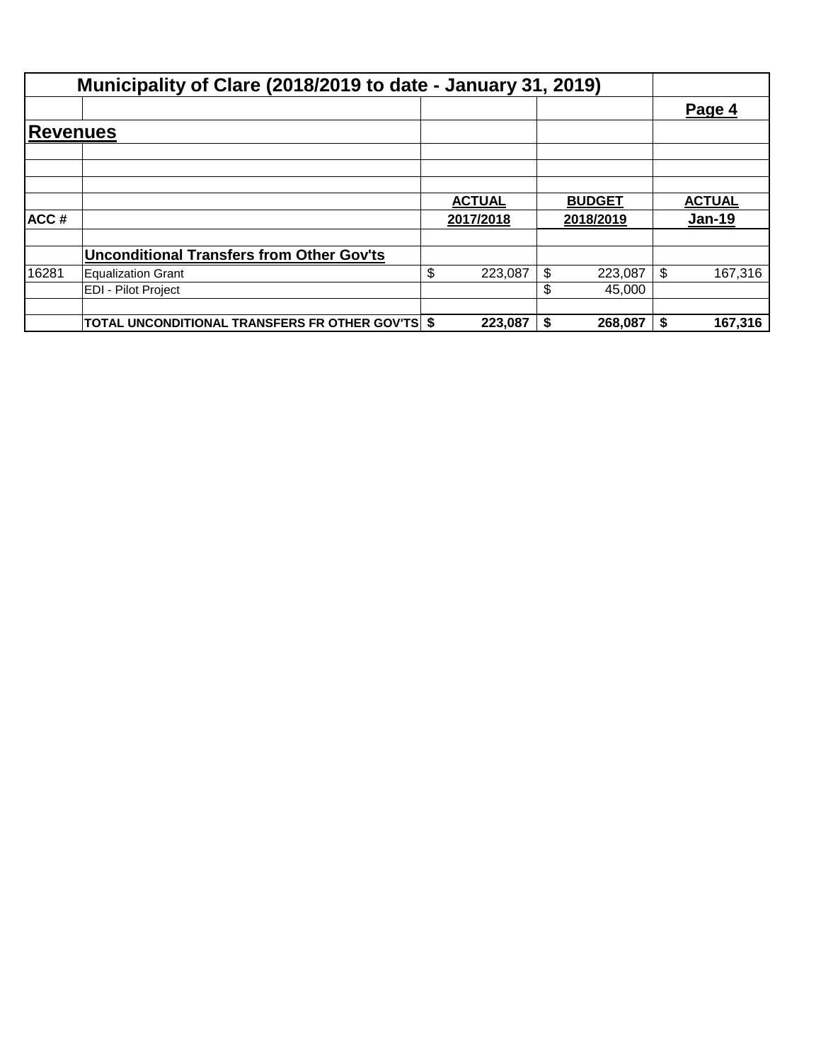|                 | Municipality of Clare (2018/2019 to date - January 31, 2019) |               |               |               |
|-----------------|--------------------------------------------------------------|---------------|---------------|---------------|
|                 |                                                              |               |               | Page 4        |
| <b>Revenues</b> |                                                              |               |               |               |
|                 |                                                              |               |               |               |
|                 |                                                              |               |               |               |
|                 |                                                              | <b>ACTUAL</b> | <b>BUDGET</b> | <b>ACTUAL</b> |
| ACC#            |                                                              | 2017/2018     | 2018/2019     | <u>Jan-19</u> |
|                 | <b>Unconditional Transfers from Other Gov'ts</b>             |               |               |               |
| 16281           | Equalization Grant                                           | \$<br>223,087 | \$<br>223,087 | 167,316       |
|                 | <b>EDI - Pilot Project</b>                                   |               | \$<br>45,000  |               |
|                 | <b>TOTAL UNCONDITIONAL TRANSFERS FR OTHER GOV'TS \$</b>      | 223,087       | 268,087       | 167,316       |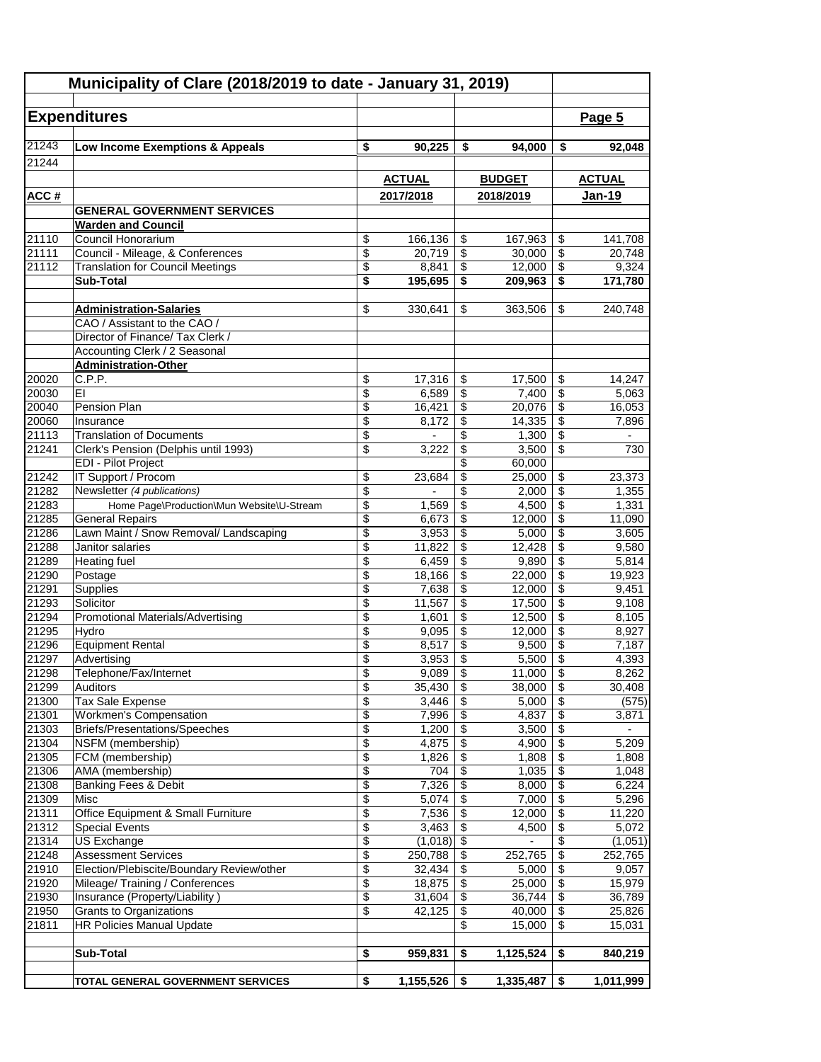| Municipality of Clare (2018/2019 to date - January 31, 2019) |                                                                  |                          |                  |                 |                  |                                                      |                  |
|--------------------------------------------------------------|------------------------------------------------------------------|--------------------------|------------------|-----------------|------------------|------------------------------------------------------|------------------|
|                                                              |                                                                  |                          |                  |                 |                  |                                                      |                  |
|                                                              | <b>Expenditures</b>                                              |                          |                  |                 |                  |                                                      | Page 5           |
| 21243                                                        | Low Income Exemptions & Appeals                                  | \$                       | 90,225           | \$              | 94,000           | \$                                                   | 92.048           |
| 21244                                                        |                                                                  |                          |                  |                 |                  |                                                      |                  |
|                                                              |                                                                  |                          | <b>ACTUAL</b>    |                 | <b>BUDGET</b>    |                                                      | <b>ACTUAL</b>    |
| <u>ACC#</u>                                                  |                                                                  |                          | 2017/2018        |                 | 2018/2019        |                                                      | <b>Jan-19</b>    |
|                                                              | <b>GENERAL GOVERNMENT SERVICES</b>                               |                          |                  |                 |                  |                                                      |                  |
|                                                              | <b>Warden and Council</b>                                        |                          |                  |                 |                  |                                                      |                  |
| 21110                                                        | Council Honorarium                                               | \$                       | 166,136          | \$              | 167,963          | \$                                                   | 141,708          |
| 21111                                                        | Council - Mileage, & Conferences                                 | \$                       | 20,719           | \$              | 30,000           | $\overline{\mathbf{3}}$                              | 20,748           |
| 21112                                                        | <b>Translation for Council Meetings</b>                          | \$                       | 8,841            | \$              | 12,000           | $\overline{\$}$                                      | 9,324            |
|                                                              | <b>Sub-Total</b>                                                 | \$                       | 195,695          | \$              | 209,963          | \$                                                   | 171,780          |
|                                                              |                                                                  |                          |                  |                 |                  |                                                      |                  |
|                                                              | <b>Administration-Salaries</b>                                   | \$                       | 330,641          | \$              | 363,506          | \$                                                   | 240,748          |
|                                                              | CAO / Assistant to the CAO /<br>Director of Finance/ Tax Clerk / |                          |                  |                 |                  |                                                      |                  |
|                                                              | Accounting Clerk / 2 Seasonal                                    |                          |                  |                 |                  |                                                      |                  |
|                                                              | <b>Administration-Other</b>                                      |                          |                  |                 |                  |                                                      |                  |
| 20020                                                        | C.P.P.                                                           | \$                       | 17,316           | \$              | 17,500           | \$                                                   | 14,247           |
| 20030                                                        | EI                                                               | $\overline{\mathcal{S}}$ | 6,589            | \$              | 7,400            | $\overline{\mathbf{s}}$                              | 5,063            |
| 20040                                                        | Pension Plan                                                     | \$                       | 16,421           | \$              | 20,076           | \$                                                   | 16,053           |
| 20060                                                        | Insurance                                                        | \$                       | 8,172            | \$              | 14,335           | \$                                                   | 7,896            |
| 21113                                                        | <b>Translation of Documents</b>                                  | \$                       |                  | \$              | 1,300            | \$                                                   |                  |
| 21241                                                        | Clerk's Pension (Delphis until 1993)                             | \$                       | 3,222            | \$              | 3,500            | $\overline{\$}$                                      | 730              |
| 21242                                                        | EDI - Pilot Project<br><b>IT Support / Procom</b>                |                          |                  | \$              | 60,000           | \$                                                   |                  |
| 21282                                                        | Newsletter (4 publications)                                      | \$<br>\$                 | 23,684           | \$<br>\$        | 25,000<br>2,000  | \$                                                   | 23,373<br>1,355  |
| 21283                                                        | Home Page\Production\Mun Website\U-Stream                        | \$                       | 1,569            | \$              | 4,500            | $\overline{\mathbf{S}}$                              | 1,331            |
| 21285                                                        | <b>General Repairs</b>                                           | \$                       | 6,673            | \$              | 12,000           | $\overline{\$}$                                      | 11,090           |
| 21286                                                        | Lawn Maint / Snow Removal/ Landscaping                           | \$                       | 3,953            | \$              | 5,000            | $\overline{\boldsymbol{\theta}}$                     | 3,605            |
| 21288                                                        | Janitor salaries                                                 | $\overline{\$}$          | 11,822           | \$              | 12,428           | $\overline{\mathcal{S}}$                             | 9,580            |
| 21289                                                        | <b>Heating fuel</b>                                              | \$                       | 6,459            | \$              | 9,890            | $\overline{\mathcal{S}}$                             | 5,814            |
| 21290                                                        | Postage                                                          | \$                       | 18,166           | \$              | 22,000           | \$                                                   | 19,923           |
| 21291                                                        | Supplies                                                         | \$                       | 7,638            | \$              | 12,000           | \$                                                   | 9,451            |
| 21293                                                        | Solicitor                                                        | \$                       | 11,567           | \$              | 17,500           | $\boldsymbol{\mathsf{S}}$                            | 9,108            |
| 21294<br>21295                                               | <b>Promotional Materials/Advertising</b><br>Hydro                | \$<br>\$                 | 1,601<br>9,095   | \$<br>\$        | 12,500<br>12,000 | $\overline{\$}$<br>\$                                | 8,105<br>8,927   |
| 21296                                                        | <b>Equipment Rental</b>                                          | \$                       | 8,517            | \$              | 9,500            | $\overline{\mathcal{L}}$                             | 7,187            |
| 21297                                                        | Advertising                                                      | \$                       | 3,953            | \$              | 5,500            | $\overline{\$}$                                      | 4,393            |
| 21298                                                        | Telephone/Fax/Internet                                           | \$                       | $9,089$ \$       |                 | $11,000$ \$      |                                                      | 8,262            |
| 21299                                                        | Auditors                                                         | \$                       | 35,430           | \$              | 38,000           | \$                                                   | 30,408           |
| 21300                                                        | Tax Sale Expense                                                 | \$                       | 3,446            | \$              | 5,000            | \$                                                   | (575)            |
| 21301                                                        | <b>Workmen's Compensation</b>                                    | $\overline{\$}$          | 7,996            | \$              | 4,837            | $\overline{\$}$                                      | 3,871            |
| 21303                                                        | Briefs/Presentations/Speeches                                    | \$                       | 1,200            | \$              | 3,500            | $\overline{\$}$                                      |                  |
| 21304                                                        | NSFM (membership)                                                | \$                       | 4,875            | \$              | 4,900            | $\sqrt{2}$                                           | 5,209            |
| 21305<br>21306                                               | FCM (membership)<br>AMA (membership)                             | \$<br>\$                 | 1,826<br>704     | \$<br>\$        | 1,808<br>1,035   | $\boldsymbol{\mathsf{S}}$<br>$\overline{\mathbf{3}}$ | 1,808<br>1,048   |
| 21308                                                        | Banking Fees & Debit                                             | \$                       | 7,326            | \$              | 8,000            | \$                                                   | 6,224            |
| 21309                                                        | Misc                                                             | \$                       | 5,074            | \$              | 7,000            | $\overline{\mathbf{3}}$                              | 5,296            |
| 21311                                                        | Office Equipment & Small Furniture                               | $\overline{\$}$          | 7,536            | \$              | 12,000           | $\overline{\$}$                                      | 11,220           |
| 21312                                                        | <b>Special Events</b>                                            | \$                       | 3,463            | $\overline{\$}$ | 4,500            | $\overline{\$}$                                      | 5,072            |
| 21314                                                        | <b>US Exchange</b>                                               | \$                       | (1,018)          | \$              |                  | $\frac{1}{2}$                                        | (1,051)          |
| 21248                                                        | <b>Assessment Services</b>                                       | \$                       | 250,788          | \$              | 252,765          | \$                                                   | 252,765          |
| 21910                                                        | Election/Plebiscite/Boundary Review/other                        | \$                       | 32,434           | \$              | 5,000            | \$                                                   | 9,057            |
| 21920                                                        | Mileage/Training / Conferences                                   | \$                       | 18,875           | \$              | 25,000           | $\overline{\$}$                                      | 15,979           |
| 21930<br>21950                                               | Insurance (Property/Liability)<br>Grants to Organizations        | $\overline{\$}$<br>\$    | 31,604<br>42,125 | \$<br>\$        | 36,744<br>40,000 | $\overline{\$}$<br>$\overline{\$}$                   | 36,789<br>25,826 |
| 21811                                                        | <b>HR Policies Manual Update</b>                                 |                          |                  | \$              | 15,000           | \$                                                   | 15,031           |
|                                                              |                                                                  |                          |                  |                 |                  |                                                      |                  |
|                                                              | <b>Sub-Total</b>                                                 | \$                       | 959,831          | \$              | 1,125,524        | \$                                                   | 840,219          |
|                                                              |                                                                  |                          |                  |                 |                  |                                                      |                  |
|                                                              | TOTAL GENERAL GOVERNMENT SERVICES                                | \$                       | 1,155,526        | \$              | 1,335,487        | \$                                                   | 1,011,999        |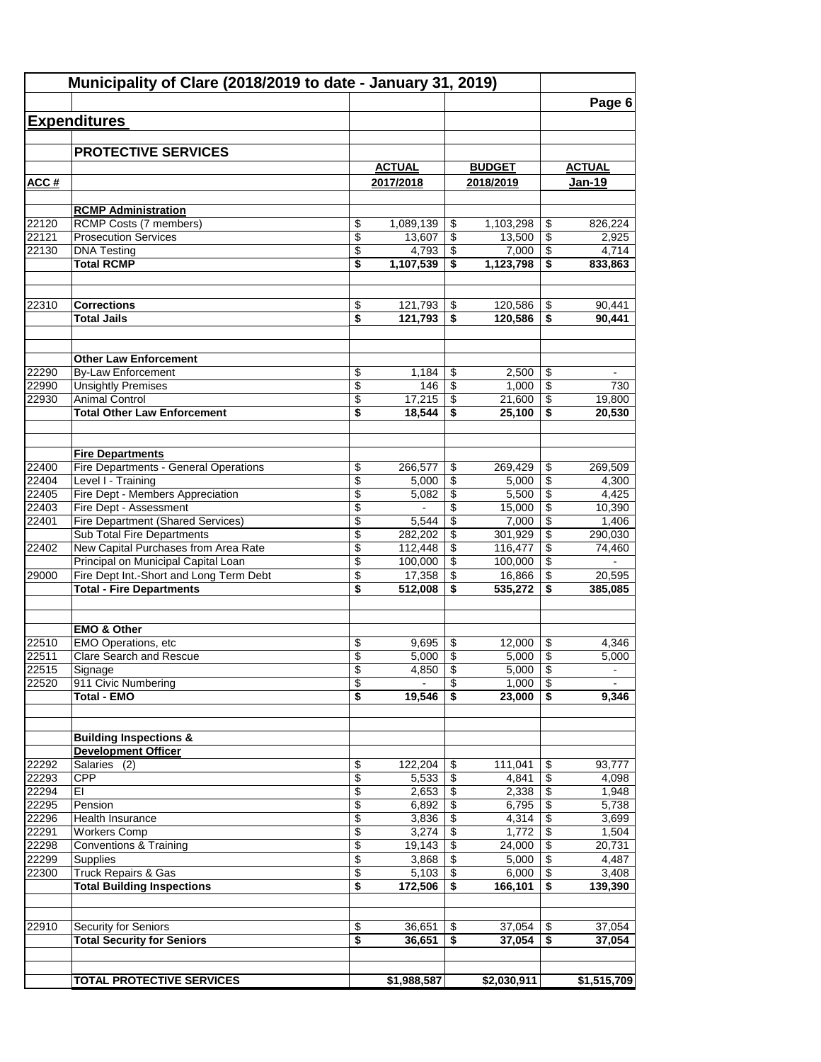|                | Municipality of Clare (2018/2019 to date - January 31, 2019) |                                |                    |          |                    |                                            |                  |
|----------------|--------------------------------------------------------------|--------------------------------|--------------------|----------|--------------------|--------------------------------------------|------------------|
|                |                                                              |                                |                    |          |                    |                                            | Page 6           |
|                | <b>Expenditures</b>                                          |                                |                    |          |                    |                                            |                  |
|                | <b>PROTECTIVE SERVICES</b>                                   |                                |                    |          |                    |                                            |                  |
|                |                                                              |                                | <b>ACTUAL</b>      |          | <b>BUDGET</b>      |                                            | <b>ACTUAL</b>    |
| ACC#           |                                                              |                                | 2017/2018          |          | 2018/2019          |                                            | Jan-19           |
|                |                                                              |                                |                    |          |                    |                                            |                  |
|                | <b>RCMP Administration</b>                                   |                                |                    |          |                    |                                            |                  |
| 22120          | RCMP Costs (7 members)                                       | \$                             | 1,089,139          | \$       | 1,103,298          | \$                                         | 826,224          |
| 22121          | <b>Prosecution Services</b>                                  | \$                             | 13.607             | \$       | 13.500             | $\overline{\mathbf{e}}$                    | 2,925            |
| 22130          | <b>DNA Testing</b><br><b>Total RCMP</b>                      | \$<br>\$                       | 4,793<br>1,107,539 | \$<br>\$ | 7,000<br>1,123,798 | \$<br>$\overline{\boldsymbol{\mathsf{s}}}$ | 4,714<br>833,863 |
|                |                                                              |                                |                    |          |                    |                                            |                  |
|                |                                                              |                                |                    |          |                    |                                            |                  |
| 22310          | <b>Corrections</b>                                           | \$                             | 121,793            | \$       | 120,586            | \$                                         | 90,441           |
|                | <b>Total Jails</b>                                           | \$                             | 121,793            | \$       | 120,586            | \$                                         | 90,441           |
|                |                                                              |                                |                    |          |                    |                                            |                  |
|                | <b>Other Law Enforcement</b>                                 |                                |                    |          |                    |                                            |                  |
| 22290          | <b>By-Law Enforcement</b>                                    | \$                             | 1,184              | \$       | 2,500              | \$                                         |                  |
| 22990          | <b>Unsightly Premises</b>                                    | $\overline{\$}$                | 146                | \$       | 1,000              | $\overline{\$}$                            | 730              |
| 22930          | <b>Animal Control</b>                                        | \$                             | 17,215             | \$       | 21,600             | \$                                         | 19,800           |
|                | <b>Total Other Law Enforcement</b>                           | \$                             | 18,544             | \$       | 25,100             | \$                                         | 20,530           |
|                |                                                              |                                |                    |          |                    |                                            |                  |
|                | <b>Fire Departments</b>                                      |                                |                    |          |                    |                                            |                  |
| 22400          | Fire Departments - General Operations                        | \$                             | 266,577            | \$       | 269,429            | \$                                         | 269,509          |
| 22404          | Level I - Training                                           | \$                             | 5,000              | \$       | 5,000              | \$                                         | 4,300            |
| 22405          | Fire Dept - Members Appreciation                             | \$                             | 5,082              | \$       | 5,500              | \$                                         | 4,425            |
| 22403          | Fire Dept - Assessment                                       | \$                             | $\blacksquare$     | \$       | 15,000             | \$                                         | 10,390           |
| 22401          | <b>Fire Department (Shared Services)</b>                     | \$                             | 5,544              | \$       | 7,000              | \$                                         | 1,406            |
|                | Sub Total Fire Departments                                   | \$                             | 282,202            | \$       | 301,929            | \$                                         | 290,030          |
| 22402          | New Capital Purchases from Area Rate                         | \$                             | 112,448            | \$       | 116,477            | $\overline{\$}$                            | 74,460           |
|                | Principal on Municipal Capital Loan                          | \$                             | 100,000            | \$       | 100,000            | \$                                         |                  |
| 29000          | Fire Dept Int.-Short and Long Term Debt                      | \$                             | 17,358             | \$       | 16,866             | \$                                         | 20,595           |
|                | <b>Total - Fire Departments</b>                              | \$                             | 512,008            | \$       | 535,272            | \$                                         | 385,085          |
|                |                                                              |                                |                    |          |                    |                                            |                  |
|                | <b>EMO &amp; Other</b>                                       |                                |                    |          |                    |                                            |                  |
| 22510          | EMO Operations, etc                                          | \$                             | 9,695              | \$       | 12,000             | \$                                         | 4,346            |
| 22511          | Clare Search and Rescue                                      | \$                             | 5,000              | \$       | 5,000              | \$                                         | 5,000            |
| 22515          | Signage                                                      | \$                             | 4,850              | \$       | 5,000              | $\boldsymbol{\mathsf{S}}$                  | $\blacksquare$   |
| 22520          | 911 Civic Numbering                                          | \$                             |                    | \$       | 1,000              | $\boldsymbol{\mathsf{S}}$                  |                  |
|                | <b>Total - EMO</b>                                           | s                              | 19.546             | \$       | 23,000             | \$                                         | 9,346            |
|                |                                                              |                                |                    |          |                    |                                            |                  |
|                | <b>Building Inspections &amp;</b>                            |                                |                    |          |                    |                                            |                  |
|                | <b>Development Officer</b>                                   |                                |                    |          |                    |                                            |                  |
| 22292          | Salaries (2)                                                 | \$                             | 122,204            | \$       | 111,041            | \$                                         | 93,777           |
| 22293          | <b>CPP</b>                                                   | \$                             | 5,533              | \$       | 4,841              | \$                                         | 4,098            |
| 22294          | EI                                                           | \$                             | 2,653              | \$       | 2,338              | \$                                         | 1,948            |
| 22295          | Pension                                                      | \$                             | 6,892              | \$       | 6,795              | $\overline{\mathbf{e}}$                    | 5,738            |
| 22296          | Health Insurance                                             | \$                             | 3,836              | \$       | 4,314              | $\overline{\mathbf{e}}$                    | 3,699            |
| 22291          | <b>Workers Comp</b>                                          | \$                             | 3,274              | \$       | 1,772              | \$                                         | 1,504            |
| 22298<br>22299 | Conventions & Training<br>Supplies                           | $\overline{\mathcal{E}}$<br>\$ | 19,143<br>3,868    | \$<br>\$ | 24,000<br>5,000    | \$<br>$\overline{\$}$                      | 20,731<br>4,487  |
| 22300          | <b>Truck Repairs &amp; Gas</b>                               | \$                             | 5,103              | \$       | 6,000              | $\overline{\mathcal{E}}$                   | 3,408            |
|                | <b>Total Building Inspections</b>                            | \$                             | 172,506            | \$       | 166,101            | \$                                         | 139,390          |
|                |                                                              |                                |                    |          |                    |                                            |                  |
|                |                                                              |                                |                    |          |                    |                                            |                  |
| 22910          | Security for Seniors                                         | \$                             | 36,651             | \$       | 37,054             | \$                                         | 37,054           |
|                | <b>Total Security for Seniors</b>                            | s                              | 36,651             | \$       | 37,054             | $\overline{\boldsymbol{\mathsf{s}}}$       | 37,054           |
|                |                                                              |                                |                    |          |                    |                                            |                  |
|                | <b>TOTAL PROTECTIVE SERVICES</b>                             |                                | \$1,988,587        |          | \$2,030,911        |                                            | \$1,515,709      |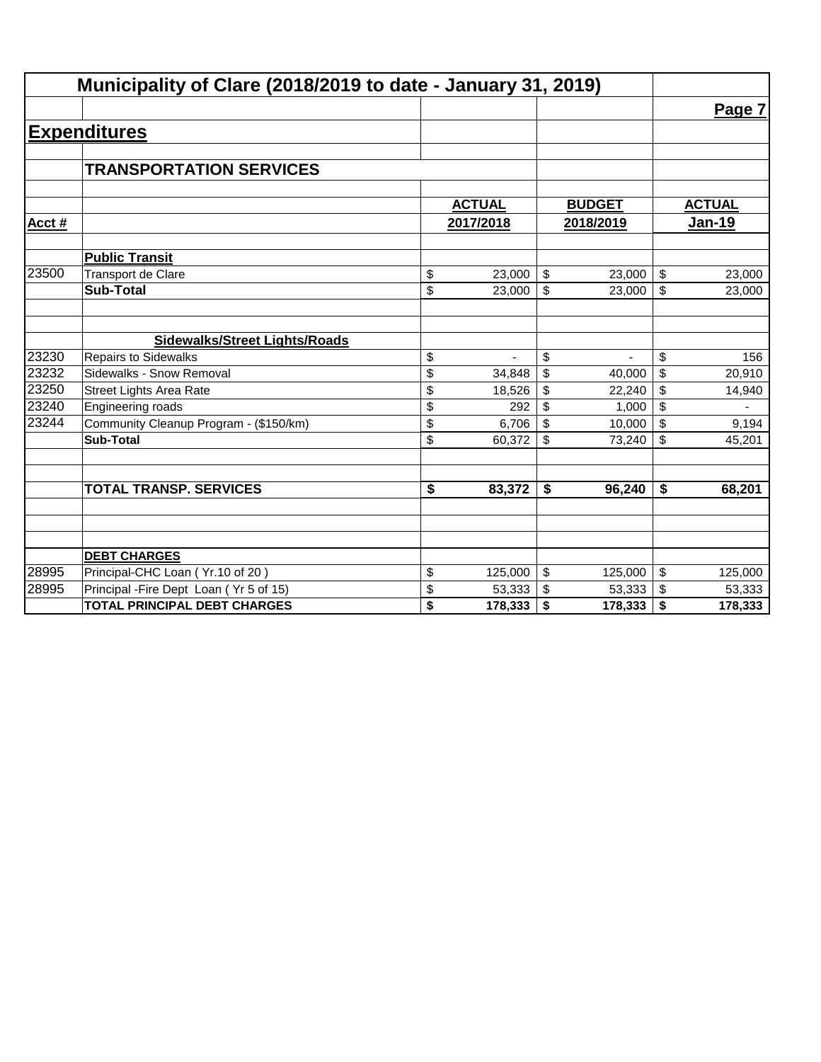|       | Municipality of Clare (2018/2019 to date - January 31, 2019) |               |               |                         |               |
|-------|--------------------------------------------------------------|---------------|---------------|-------------------------|---------------|
|       |                                                              |               |               |                         | Page 7        |
|       | <b>Expenditures</b>                                          |               |               |                         |               |
|       |                                                              |               |               |                         |               |
|       | <b>TRANSPORTATION SERVICES</b>                               |               |               |                         |               |
|       |                                                              | <b>ACTUAL</b> | <b>BUDGET</b> |                         | <b>ACTUAL</b> |
| Acct# |                                                              | 2017/2018     | 2018/2019     |                         | <b>Jan-19</b> |
|       | <b>Public Transit</b>                                        |               |               |                         |               |
| 23500 | Transport de Clare                                           | \$<br>23,000  | \$<br>23,000  | $\sqrt{2}$              | 23,000        |
|       | <b>Sub-Total</b>                                             | \$<br>23,000  | \$<br>23,000  | \$                      | 23,000        |
|       |                                                              |               |               |                         |               |
|       | <b>Sidewalks/Street Lights/Roads</b>                         |               |               |                         |               |
| 23230 | <b>Repairs to Sidewalks</b>                                  | \$            | \$            | \$                      | 156           |
| 23232 | Sidewalks - Snow Removal                                     | \$<br>34.848  | \$<br>40,000  | \$                      | 20,910        |
| 23250 | <b>Street Lights Area Rate</b>                               | \$<br>18,526  | \$<br>22,240  | \$                      | 14,940        |
| 23240 | Engineering roads                                            | \$<br>292     | \$<br>1,000   | \$                      |               |
| 23244 | Community Cleanup Program - (\$150/km)                       | \$<br>6,706   | \$<br>10,000  | \$                      | 9,194         |
|       | <b>Sub-Total</b>                                             | \$<br>60,372  | \$<br>73,240  | \$                      | 45,201        |
|       | <b>TOTAL TRANSP. SERVICES</b>                                | \$<br>83,372  | \$<br>96,240  | \$                      | 68,201        |
|       |                                                              |               |               |                         |               |
|       | <b>DEBT CHARGES</b>                                          |               |               |                         |               |
| 28995 | Principal-CHC Loan (Yr.10 of 20)                             | \$<br>125,000 | \$<br>125,000 | $\sqrt[6]{\frac{1}{2}}$ | 125,000       |
| 28995 | Principal - Fire Dept Loan (Yr 5 of 15)                      | \$<br>53,333  | \$<br>53,333  | $\sqrt{2}$              | 53,333        |
|       | <b>TOTAL PRINCIPAL DEBT CHARGES</b>                          | \$<br>178,333 | \$<br>178,333 | \$                      | 178,333       |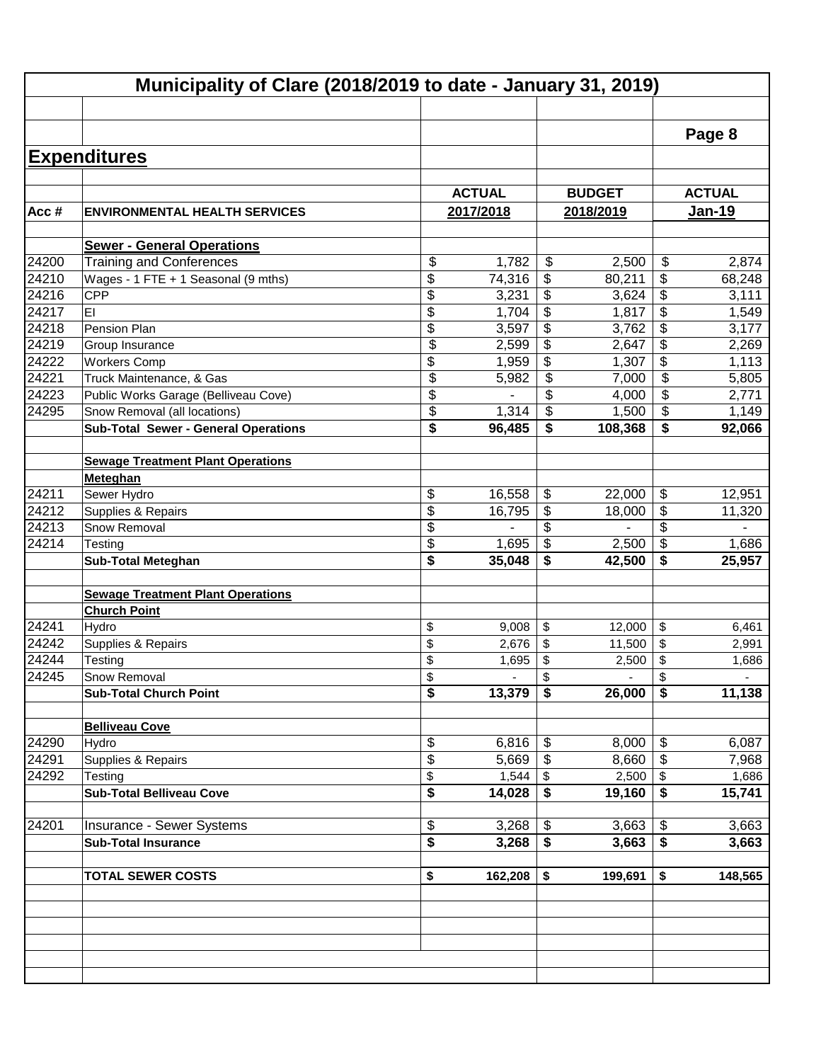|       | Municipality of Clare (2018/2019 to date - January 31, 2019) |                 |               |                                        |               |                                  |                     |  |  |
|-------|--------------------------------------------------------------|-----------------|---------------|----------------------------------------|---------------|----------------------------------|---------------------|--|--|
|       |                                                              |                 |               |                                        |               |                                  |                     |  |  |
|       |                                                              |                 |               |                                        |               |                                  | Page 8              |  |  |
|       |                                                              |                 |               |                                        |               |                                  |                     |  |  |
|       | <b>Expenditures</b>                                          |                 |               |                                        |               |                                  |                     |  |  |
|       |                                                              |                 |               |                                        |               |                                  |                     |  |  |
|       |                                                              |                 | <b>ACTUAL</b> |                                        | <b>BUDGET</b> |                                  | <b>ACTUAL</b>       |  |  |
| Acc#  | <b>ENVIRONMENTAL HEALTH SERVICES</b>                         |                 | 2017/2018     |                                        | 2018/2019     |                                  | <b>Jan-19</b>       |  |  |
|       | <b>Sewer - General Operations</b>                            |                 |               |                                        |               |                                  |                     |  |  |
| 24200 | <b>Training and Conferences</b>                              | \$              | 1,782         | $\boldsymbol{\mathsf{S}}$              | 2,500         | \$                               | 2,874               |  |  |
| 24210 | Wages - 1 FTE + 1 Seasonal (9 mths)                          | \$              | 74,316        | \$                                     | 80,211        | \$                               | 68,248              |  |  |
| 24216 | CPP                                                          | \$              | 3,231         | \$                                     | 3,624         | \$                               | 3,111               |  |  |
| 24217 | EI                                                           | \$              | 1,704         | \$                                     | 1,817         | \$                               | 1,549               |  |  |
| 24218 | Pension Plan                                                 | \$              | 3,597         | \$                                     | 3,762         | $\overline{\boldsymbol{\theta}}$ | 3,177               |  |  |
| 24219 | Group Insurance                                              | \$              | 2,599         | \$                                     | 2,647         | $\overline{\boldsymbol{\theta}}$ | 2,269               |  |  |
| 24222 | <b>Workers Comp</b>                                          | \$              | 1,959         | $\overline{\mathbf{e}}$                | 1,307         | $\overline{\$}$                  | 1,113               |  |  |
| 24221 | Truck Maintenance, & Gas                                     | \$              | 5,982         | \$                                     | 7,000         | $\overline{\mathfrak{s}}$        | 5,805               |  |  |
| 24223 | Public Works Garage (Belliveau Cove)                         | \$              |               | \$                                     | 4,000         | \$                               | 2,771               |  |  |
| 24295 | Snow Removal (all locations)                                 | \$              | 1,314         | $\overline{\boldsymbol{\mathfrak{s}}}$ | 1,500         | \$                               | 1,149               |  |  |
|       | <b>Sub-Total Sewer - General Operations</b>                  | \$              | 96,485        | $\overline{\boldsymbol{s}}$            | 108,368       | \$                               | 92,066              |  |  |
|       |                                                              |                 |               |                                        |               |                                  |                     |  |  |
|       | <b>Sewage Treatment Plant Operations</b>                     |                 |               |                                        |               |                                  |                     |  |  |
|       | Meteghan                                                     |                 |               |                                        |               |                                  |                     |  |  |
| 24211 | Sewer Hydro                                                  | \$              | 16,558        | \$                                     | 22,000        | \$                               | $\overline{12,951}$ |  |  |
| 24212 | Supplies & Repairs                                           | $\overline{\$}$ | 16,795        | \$                                     | 18,000        | \$                               | 11,320              |  |  |
| 24213 | Snow Removal                                                 | \$              |               | \$                                     |               | \$                               |                     |  |  |
| 24214 | <b>Testing</b>                                               | \$              | 1,695         | \$                                     | 2,500         | \$                               | 1,686               |  |  |
|       | <b>Sub-Total Meteghan</b>                                    | \$              | 35,048        | \$                                     | 42,500        | \$                               | 25,957              |  |  |
|       | <b>Sewage Treatment Plant Operations</b>                     |                 |               |                                        |               |                                  |                     |  |  |
|       | <b>Church Point</b>                                          |                 |               |                                        |               |                                  |                     |  |  |
| 24241 | Hydro                                                        | \$              | 9,008         | \$                                     | 12,000        | \$                               | 6,461               |  |  |
| 24242 | Supplies & Repairs                                           | \$              | 2,676         | \$                                     | 11,500        | \$                               | 2,991               |  |  |
| 24244 | Testing                                                      | \$              | 1,695         | \$                                     | 2,500         | \$                               | 1,686               |  |  |
| 24245 | <b>Snow Removal</b>                                          | \$              |               | Ф                                      |               | $\boldsymbol{\theta}$            |                     |  |  |
|       | <b>Sub-Total Church Point</b>                                | \$              | 13,379        | \$                                     | 26,000        | \$                               | 11,138              |  |  |
|       |                                                              |                 |               |                                        |               |                                  |                     |  |  |
|       | <b>Belliveau Cove</b>                                        |                 |               |                                        |               |                                  |                     |  |  |
| 24290 | Hydro                                                        | \$              | 6,816         | \$                                     | 8,000         | \$                               | 6,087               |  |  |
| 24291 | Supplies & Repairs                                           | \$              | 5,669         | \$                                     | 8,660         | $\boldsymbol{\mathsf{\$}}$       | 7,968               |  |  |
| 24292 | Testing                                                      | \$              | $1,544$ \$    |                                        | 2,500         | $\boldsymbol{\mathsf{S}}$        | 1,686               |  |  |
|       | <b>Sub-Total Belliveau Cove</b>                              | \$              | 14,028        | \$                                     | 19,160        | \$                               | 15,741              |  |  |
|       |                                                              |                 |               |                                        |               |                                  |                     |  |  |
| 24201 | Insurance - Sewer Systems                                    | \$              | 3,268         | \$                                     | 3,663         | \$                               | 3,663               |  |  |
|       | <b>Sub-Total Insurance</b>                                   | \$              | 3,268         | \$                                     | 3,663         | \$                               | 3,663               |  |  |
|       |                                                              |                 |               |                                        |               |                                  |                     |  |  |
|       | <b>TOTAL SEWER COSTS</b>                                     | \$              | 162,208       | \$                                     | 199,691       | \$                               | 148,565             |  |  |
|       |                                                              |                 |               |                                        |               |                                  |                     |  |  |
|       |                                                              |                 |               |                                        |               |                                  |                     |  |  |
|       |                                                              |                 |               |                                        |               |                                  |                     |  |  |
|       |                                                              |                 |               |                                        |               |                                  |                     |  |  |
|       |                                                              |                 |               |                                        |               |                                  |                     |  |  |
|       |                                                              |                 |               |                                        |               |                                  |                     |  |  |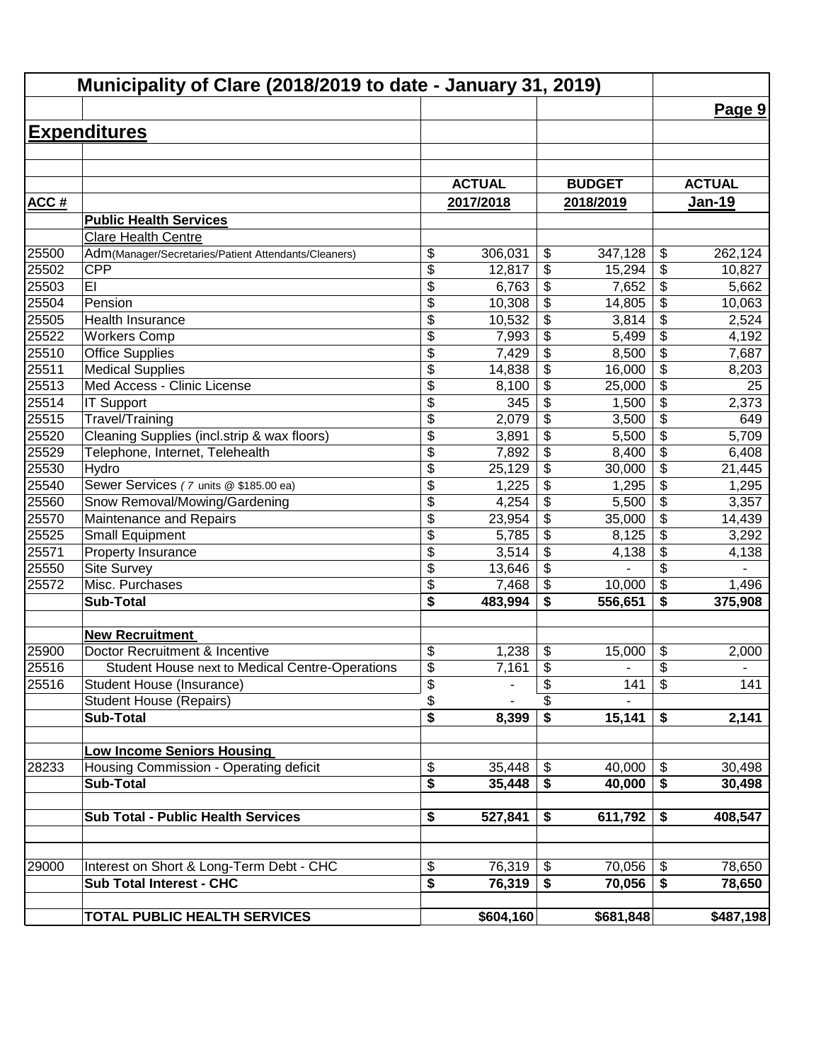| Municipality of Clare (2018/2019 to date - January 31, 2019) |                                                      |                         |               |                                        |                          |                                      |               |
|--------------------------------------------------------------|------------------------------------------------------|-------------------------|---------------|----------------------------------------|--------------------------|--------------------------------------|---------------|
|                                                              |                                                      |                         |               |                                        |                          |                                      | Page 9        |
|                                                              | <b>Expenditures</b>                                  |                         |               |                                        |                          |                                      |               |
|                                                              |                                                      |                         |               |                                        |                          |                                      |               |
|                                                              |                                                      |                         |               |                                        |                          |                                      |               |
|                                                              |                                                      |                         | <b>ACTUAL</b> |                                        | <b>BUDGET</b>            |                                      | <b>ACTUAL</b> |
| <b>ACC#</b>                                                  |                                                      |                         | 2017/2018     |                                        | 2018/2019                |                                      | <u>Jan-19</u> |
|                                                              | <b>Public Health Services</b>                        |                         |               |                                        |                          |                                      |               |
|                                                              | <b>Clare Health Centre</b>                           |                         |               |                                        |                          |                                      |               |
| 25500                                                        | Adm(Manager/Secretaries/Patient Attendants/Cleaners) | \$                      | 306,031       | \$                                     | 347,128                  | \$                                   | 262,124       |
| 25502                                                        | <b>CPP</b>                                           | \$                      | 12,817        | \$                                     | 15,294                   | \$                                   | 10,827        |
| 25503                                                        | EI                                                   | \$                      | 6,763         | \$                                     | 7,652                    | $\overline{\$}$                      | 5,662         |
| 25504                                                        | Pension                                              | \$                      | 10,308        | \$                                     | 14,805                   | $\overline{\$}$                      | 10,063        |
| 25505                                                        | Health Insurance                                     | \$                      | 10,532        | \$                                     | 3,814                    | $\overline{\$}$                      | 2,524         |
| 25522                                                        | <b>Workers Comp</b>                                  | \$                      | 7,993         | \$                                     | 5,499                    | $\overline{\$}$                      | 4,192         |
| 25510                                                        | <b>Office Supplies</b>                               | $\overline{\$}$         | 7,429         | $\overline{\$}$                        | 8,500                    | $\overline{\$}$                      | 7,687         |
| 25511                                                        | <b>Medical Supplies</b>                              | \$                      | 14,838        | \$                                     | 16,000                   | $\overline{\$}$                      | 8,203         |
| 25513                                                        | Med Access - Clinic License                          | \$                      | 8,100         | \$                                     | 25,000                   | $\overline{\$}$                      | 25            |
| 25514                                                        | <b>IT Support</b>                                    | \$                      | 345           | \$                                     | 1,500                    | \$                                   | 2,373         |
| 25515                                                        | Travel/Training                                      | $\overline{\$}$         | 2,079         | \$                                     | 3,500                    | $\overline{\$}$                      | 649           |
| 25520                                                        | Cleaning Supplies (incl.strip & wax floors)          | \$                      | 3,891         | \$                                     | 5,500                    | $\overline{\$}$                      | 5,709         |
| 25529                                                        | Telephone, Internet, Telehealth                      | \$                      | 7,892         | \$                                     | 8,400                    | \$                                   | 6,408         |
| 25530                                                        | Hydro                                                | \$                      | 25,129        | \$                                     | 30,000                   | $\overline{\mathcal{L}}$             | 21,445        |
| 25540                                                        | Sewer Services (7 units @ \$185.00 ea)               | \$                      | 1,225         | \$                                     | 1,295                    | $\overline{\mathcal{L}}$             | 1,295         |
| 25560                                                        | Snow Removal/Mowing/Gardening                        | \$                      | 4,254         | \$                                     | 5,500                    | $\overline{\mathcal{S}}$             | 3,357         |
| 25570                                                        | Maintenance and Repairs                              | \$                      | 23,954        | \$                                     | 35,000                   | \$                                   | 14,439        |
| 25525                                                        | <b>Small Equipment</b>                               | \$                      | 5,785         | \$                                     | 8,125                    | \$                                   | 3,292         |
| 25571                                                        | Property Insurance                                   | \$                      | 3,514         | \$                                     | 4,138                    | \$                                   | 4,138         |
| 25550                                                        | Site Survey                                          | \$                      | 13,646        | \$                                     |                          | \$                                   |               |
| 25572                                                        | Misc. Purchases                                      | \$                      | 7,468         | \$                                     | 10,000                   | \$                                   | 1,496         |
|                                                              | <b>Sub-Total</b>                                     | \$                      | 483,994       | \$                                     | 556,651                  | $\overline{\boldsymbol{\mathsf{s}}}$ | 375,908       |
|                                                              | <b>New Recruitment</b>                               |                         |               |                                        |                          |                                      |               |
| 25900                                                        | Doctor Recruitment & Incentive                       | \$                      | 1,238         | \$                                     | 15,000                   | \$                                   | 2,000         |
| 25516                                                        | Student House next to Medical Centre-Operations      | $\overline{\mathbf{S}}$ | 7,161         | \$                                     | $\overline{\phantom{a}}$ | $\overline{\boldsymbol{\theta}}$     |               |
| 25516                                                        | Student House (Insurance)                            | \$                      |               | \$                                     | 141                      | \$                                   | 141           |
|                                                              | <b>Student House (Repairs)</b>                       | \$                      |               | \$                                     |                          |                                      |               |
|                                                              | <b>Sub-Total</b>                                     | \$                      | 8,399         | $\overline{\boldsymbol{\mathfrak{s}}}$ | 15,141                   | \$                                   | 2,141         |
|                                                              |                                                      |                         |               |                                        |                          |                                      |               |
|                                                              | <b>Low Income Seniors Housing</b>                    |                         |               |                                        |                          |                                      |               |
| 28233                                                        | Housing Commission - Operating deficit               | \$                      | 35,448        | $\boldsymbol{\mathsf{S}}$              | 40,000                   | \$                                   | 30,498        |
|                                                              | <b>Sub-Total</b>                                     | \$                      | 35,448        | \$                                     | 40,000                   | \$                                   | 30,498        |
|                                                              |                                                      |                         |               |                                        |                          |                                      |               |
|                                                              | <b>Sub Total - Public Health Services</b>            | \$                      | 527,841       | \$                                     | 611,792                  | \$                                   | 408,547       |
|                                                              |                                                      |                         |               |                                        |                          |                                      |               |
|                                                              |                                                      |                         |               |                                        |                          |                                      |               |
| 29000                                                        | Interest on Short & Long-Term Debt - CHC             | \$                      | 76,319        | $\boldsymbol{\mathsf{S}}$              | 70,056                   | $\boldsymbol{\mathsf{\$}}$           | 78,650        |
|                                                              | <b>Sub Total Interest - CHC</b>                      | \$                      | 76,319        | \$                                     | 70,056                   | $\overline{\bullet}$                 | 78,650        |
|                                                              |                                                      |                         |               |                                        |                          |                                      |               |
|                                                              | TOTAL PUBLIC HEALTH SERVICES                         |                         | \$604,160     |                                        | \$681,848                |                                      | \$487,198     |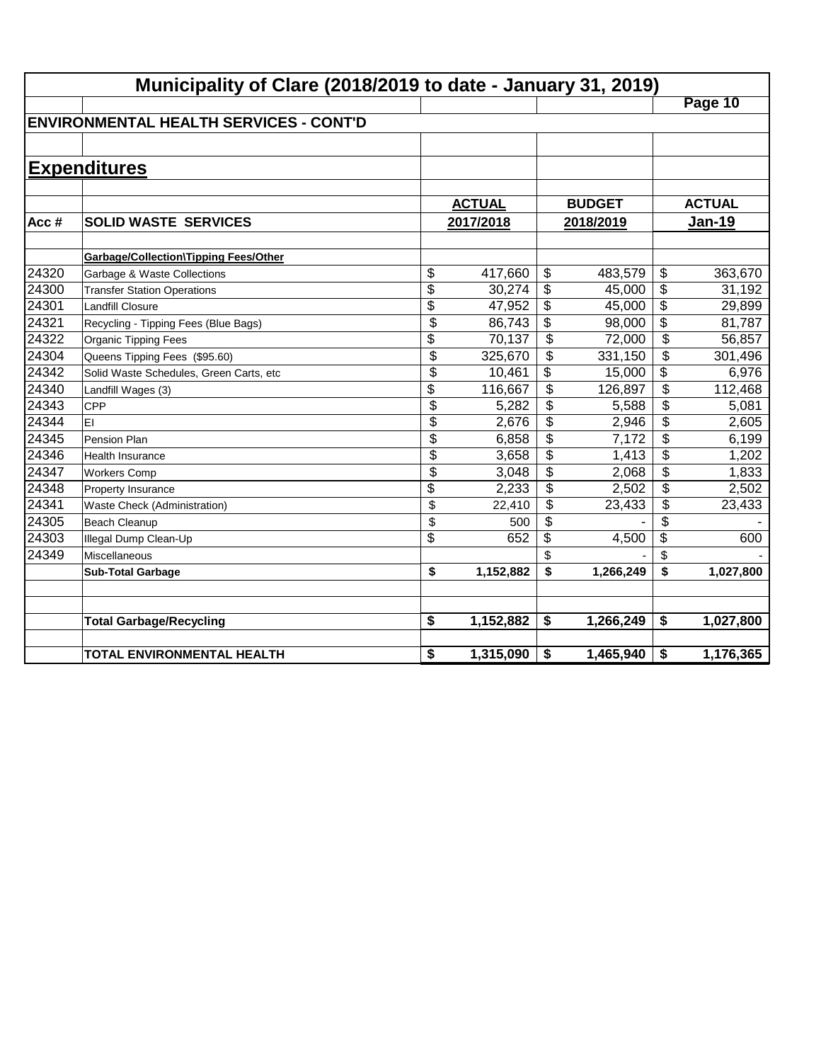|       | Municipality of Clare (2018/2019 to date - January 31, 2019) |                          |               |                          |               |                 |               |  |  |  |  |
|-------|--------------------------------------------------------------|--------------------------|---------------|--------------------------|---------------|-----------------|---------------|--|--|--|--|
|       |                                                              |                          |               |                          |               |                 | Page 10       |  |  |  |  |
|       | <b>ENVIRONMENTAL HEALTH SERVICES - CONT'D</b>                |                          |               |                          |               |                 |               |  |  |  |  |
|       |                                                              |                          |               |                          |               |                 |               |  |  |  |  |
|       | <b>Expenditures</b>                                          |                          |               |                          |               |                 |               |  |  |  |  |
|       |                                                              |                          |               |                          |               |                 |               |  |  |  |  |
|       |                                                              |                          | <b>ACTUAL</b> |                          | <b>BUDGET</b> |                 | <b>ACTUAL</b> |  |  |  |  |
| Acc#  | <b>SOLID WASTE SERVICES</b>                                  |                          | 2017/2018     |                          | 2018/2019     |                 | Jan-19        |  |  |  |  |
|       |                                                              |                          |               |                          |               |                 |               |  |  |  |  |
|       | <b>Garbage/Collection\Tipping Fees/Other</b>                 |                          |               |                          |               |                 |               |  |  |  |  |
| 24320 | Garbage & Waste Collections                                  | \$                       | 417,660       | \$                       | 483,579       | \$              | 363,670       |  |  |  |  |
| 24300 | <b>Transfer Station Operations</b>                           | \$                       | 30,274        | $\frac{1}{2}$            | 45,000        | \$              | 31,192        |  |  |  |  |
| 24301 | <b>Landfill Closure</b>                                      | \$                       | 47,952        | \$                       | 45,000        | $\overline{\$}$ | 29,899        |  |  |  |  |
| 24321 | Recycling - Tipping Fees (Blue Bags)                         | $\overline{\$}$          | 86,743        | \$                       | 98,000        | $\overline{\$}$ | 81,787        |  |  |  |  |
| 24322 | <b>Organic Tipping Fees</b>                                  | $\overline{\mathcal{L}}$ | 70,137        | \$                       | 72,000        | \$              | 56,857        |  |  |  |  |
| 24304 | Queens Tipping Fees (\$95.60)                                | $\overline{\$}$          | 325,670       | $\overline{\mathcal{L}}$ | 331,150       | \$              | 301,496       |  |  |  |  |
| 24342 | Solid Waste Schedules, Green Carts, etc                      | \$                       | 10,461        | \$                       | 15,000        | \$              | 6,976         |  |  |  |  |
| 24340 | Landfill Wages (3)                                           | \$                       | 116,667       | $\overline{\mathcal{L}}$ | 126,897       | \$              | 112,468       |  |  |  |  |
| 24343 | CPP                                                          | $\overline{\$}$          | 5,282         | \$                       | 5,588         | \$              | 5,081         |  |  |  |  |
| 24344 | EI                                                           | \$                       | 2,676         | \$                       | 2,946         | \$              | 2,605         |  |  |  |  |
| 24345 | Pension Plan                                                 | \$                       | 6,858         | \$                       | 7,172         | \$              | 6,199         |  |  |  |  |
| 24346 | <b>Health Insurance</b>                                      | \$                       | 3,658         | \$                       | 1,413         | \$              | 1,202         |  |  |  |  |
| 24347 | <b>Workers Comp</b>                                          | \$                       | 3,048         | \$                       | 2,068         | \$              | 1,833         |  |  |  |  |
| 24348 | Property Insurance                                           | \$                       | 2,233         | \$                       | 2,502         | \$              | 2,502         |  |  |  |  |
| 24341 | Waste Check (Administration)                                 | \$                       | 22,410        | \$                       | 23,433        | \$              | 23,433        |  |  |  |  |
| 24305 | <b>Beach Cleanup</b>                                         | \$                       | 500           | \$                       |               | \$              |               |  |  |  |  |
| 24303 | Illegal Dump Clean-Up                                        | \$                       | 652           | $\overline{\mathbf{3}}$  | 4,500         | $\overline{\$}$ | 600           |  |  |  |  |
| 24349 | Miscellaneous                                                |                          |               | \$                       |               | \$              |               |  |  |  |  |
|       | <b>Sub-Total Garbage</b>                                     | \$                       | 1,152,882     | \$                       | 1,266,249     | \$              | 1,027,800     |  |  |  |  |
|       |                                                              |                          |               |                          |               |                 |               |  |  |  |  |
|       | <b>Total Garbage/Recycling</b>                               | \$                       | 1,152,882     | \$                       | 1,266,249     | \$              | 1,027,800     |  |  |  |  |
|       |                                                              |                          |               |                          |               |                 |               |  |  |  |  |
|       | TOTAL ENVIRONMENTAL HEALTH                                   | \$                       | 1,315,090     | \$                       | 1,465,940     | \$              | 1,176,365     |  |  |  |  |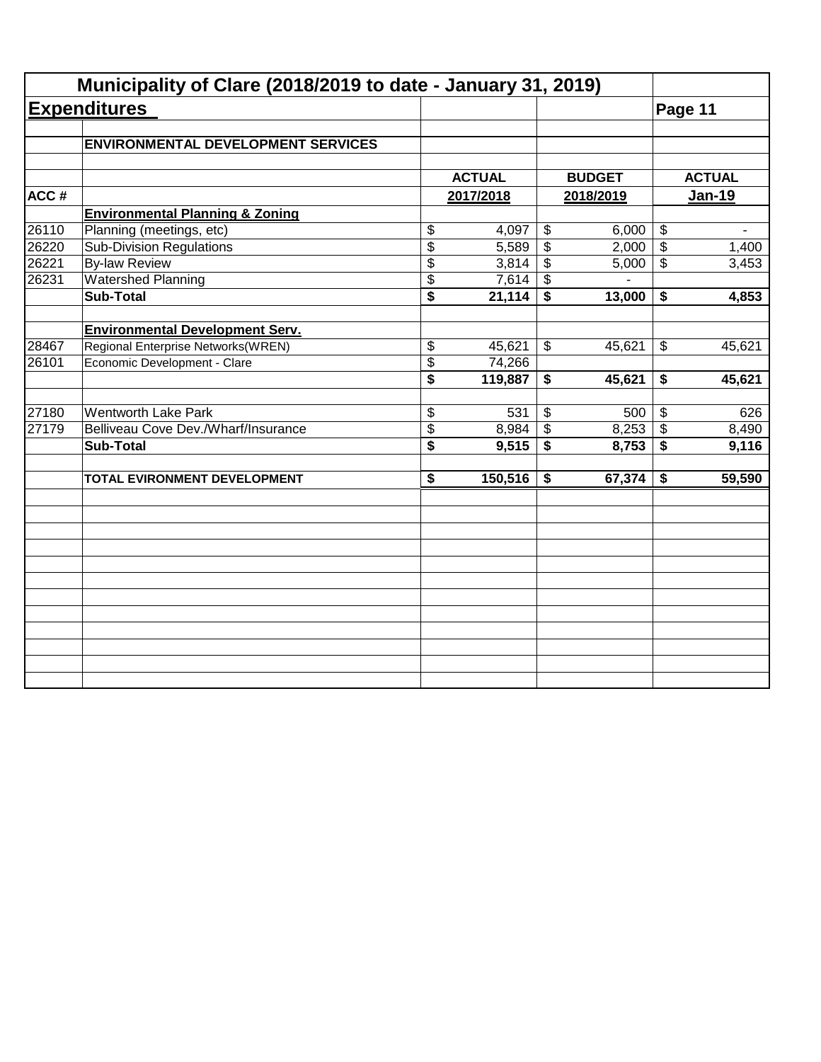|       | Municipality of Clare (2018/2019 to date - January 31, 2019) |                 |               |                          |               |                                      |               |
|-------|--------------------------------------------------------------|-----------------|---------------|--------------------------|---------------|--------------------------------------|---------------|
|       | <b>Expenditures</b>                                          |                 |               |                          |               |                                      | Page 11       |
|       | <b>ENVIRONMENTAL DEVELOPMENT SERVICES</b>                    |                 |               |                          |               |                                      |               |
|       |                                                              |                 | <b>ACTUAL</b> |                          | <b>BUDGET</b> |                                      | <b>ACTUAL</b> |
| ACC#  |                                                              |                 | 2017/2018     |                          | 2018/2019     |                                      | <b>Jan-19</b> |
|       | <b>Environmental Planning &amp; Zoning</b>                   |                 |               |                          |               |                                      |               |
| 26110 | Planning (meetings, etc)                                     | \$              | 4,097         | $\overline{\$}$          | 6,000         | $\overline{\$}$                      |               |
| 26220 | <b>Sub-Division Regulations</b>                              | $\overline{\$}$ | 5,589         | $\overline{\mathcal{L}}$ | 2,000         | $\overline{\$}$                      | 1,400         |
| 26221 | <b>By-law Review</b>                                         | \$              | 3,814         | \$                       | 5,000         | $\overline{\mathcal{S}}$             | 3,453         |
| 26231 | <b>Watershed Planning</b>                                    | \$              | 7,614         | \$                       |               |                                      |               |
|       | <b>Sub-Total</b>                                             | \$              | 21,114        | \$                       | 13,000        | \$                                   | 4,853         |
|       |                                                              |                 |               |                          |               |                                      |               |
|       | <b>Environmental Development Serv.</b>                       |                 |               |                          |               |                                      |               |
| 28467 | Regional Enterprise Networks(WREN)                           | \$              | 45,621        | \$                       | 45,621        | $\boldsymbol{\mathsf{S}}$            | 45,621        |
| 26101 | Economic Development - Clare                                 | \$              | 74,266        |                          |               |                                      |               |
|       |                                                              | \$              | 119,887       | \$                       | 45,621        | \$                                   | 45,621        |
| 27180 | <b>Wentworth Lake Park</b>                                   | \$              | 531           | \$                       | 500           | $\sqrt[6]{3}$                        | 626           |
| 27179 | Belliveau Cove Dev./Wharf/Insurance                          | \$              | 8,984         | \$                       | 8,253         | $\boldsymbol{\mathsf{S}}$            | 8,490         |
|       | <b>Sub-Total</b>                                             | \$              | 9,515         | $\overline{\mathbf{s}}$  | 8,753         | $\overline{\boldsymbol{\mathsf{s}}}$ | 9,116         |
|       |                                                              |                 |               |                          |               |                                      |               |
|       | TOTAL EVIRONMENT DEVELOPMENT                                 | \$              | 150,516       | \$                       | 67,374        | \$                                   | 59,590        |
|       |                                                              |                 |               |                          |               |                                      |               |
|       |                                                              |                 |               |                          |               |                                      |               |
|       |                                                              |                 |               |                          |               |                                      |               |
|       |                                                              |                 |               |                          |               |                                      |               |
|       |                                                              |                 |               |                          |               |                                      |               |
|       |                                                              |                 |               |                          |               |                                      |               |
|       |                                                              |                 |               |                          |               |                                      |               |
|       |                                                              |                 |               |                          |               |                                      |               |
|       |                                                              |                 |               |                          |               |                                      |               |
|       |                                                              |                 |               |                          |               |                                      |               |
|       |                                                              |                 |               |                          |               |                                      |               |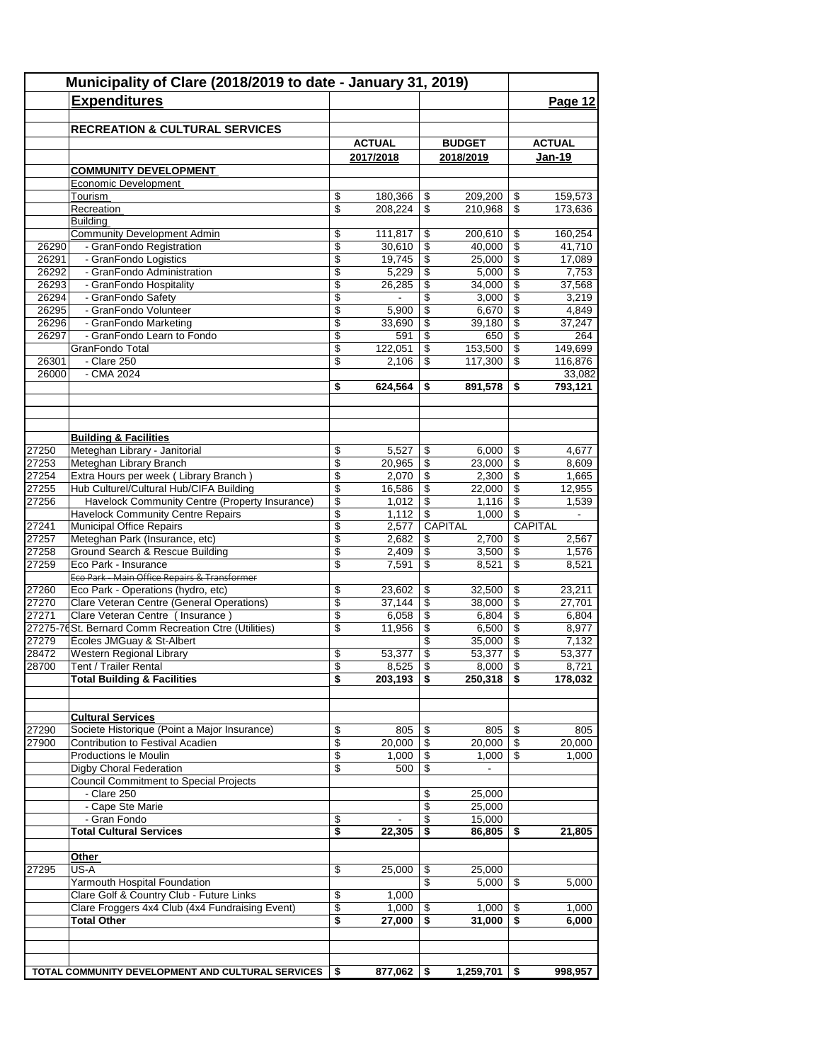|       | Municipality of Clare (2018/2019 to date - January 31, 2019)                    |                         |                          |                          |                  |                       |                   |  |  |
|-------|---------------------------------------------------------------------------------|-------------------------|--------------------------|--------------------------|------------------|-----------------------|-------------------|--|--|
|       | <b>Expenditures</b>                                                             |                         |                          |                          |                  |                       | Page 12           |  |  |
|       |                                                                                 |                         |                          |                          |                  |                       |                   |  |  |
|       | <b>RECREATION &amp; CULTURAL SERVICES</b>                                       |                         |                          |                          |                  |                       |                   |  |  |
|       |                                                                                 |                         | <b>ACTUAL</b>            |                          | <b>BUDGET</b>    |                       | <b>ACTUAL</b>     |  |  |
|       |                                                                                 |                         | 2017/2018                |                          | 2018/2019        |                       | <b>Jan-19</b>     |  |  |
|       | <b>COMMUNITY DEVELOPMENT</b>                                                    |                         |                          |                          |                  |                       |                   |  |  |
|       | Economic Development<br>Tourism                                                 | \$                      | 180,366                  | \$                       | 209,200          | \$                    | 159,573           |  |  |
|       | Recreation                                                                      | \$                      | 208,224                  | $\overline{\mathcal{S}}$ | 210,968          | \$                    | 173,636           |  |  |
|       | <b>Building</b>                                                                 |                         |                          |                          |                  |                       |                   |  |  |
|       | <b>Community Development Admin</b>                                              | \$                      | 111,817                  | \$                       | 200,610          | \$                    | 160,254           |  |  |
| 26290 | - GranFondo Registration                                                        | \$                      | 30,610                   | $\overline{\$}$          | 40,000           | \$                    | 41,710            |  |  |
| 26291 | - GranFondo Logistics                                                           | \$                      | 19,745                   | \$                       | 25,000           | \$                    | 17,089            |  |  |
| 26292 | - GranFondo Administration                                                      | \$                      | 5,229                    | \$                       | 5,000            | \$                    | 7,753             |  |  |
| 26293 | - GranFondo Hospitality                                                         | \$                      | 26,285                   | \$                       | 34,000           | \$                    | 37,568            |  |  |
| 26294 | - GranFondo Safety                                                              | \$                      | $\overline{\phantom{0}}$ | \$                       | 3,000            | \$                    | 3,219             |  |  |
| 26295 | - GranFondo Volunteer                                                           | \$                      | 5,900                    | \$                       | 6,670            | \$                    | 4,849             |  |  |
| 26296 | - GranFondo Marketing                                                           | \$                      | 33,690                   | \$                       | 39,180           | \$                    | 37,247            |  |  |
| 26297 | - GranFondo Learn to Fondo                                                      | $\overline{\mathbb{S}}$ | 591                      | \$                       | 650              | \$                    | 264               |  |  |
|       | GranFondo Total                                                                 | \$                      | 122,051                  | \$                       | 153,500          | \$                    | 149,699           |  |  |
| 26301 | - Clare 250<br>- CMA 2024                                                       | \$                      | 2,106                    | \$                       | 117,300          | \$                    | 116,876           |  |  |
| 26000 |                                                                                 | \$                      | 624,564                  | \$                       | 891,578          | \$                    | 33,082<br>793,121 |  |  |
|       |                                                                                 |                         |                          |                          |                  |                       |                   |  |  |
|       |                                                                                 |                         |                          |                          |                  |                       |                   |  |  |
|       |                                                                                 |                         |                          |                          |                  |                       |                   |  |  |
|       | <b>Building &amp; Facilities</b>                                                |                         |                          |                          |                  |                       |                   |  |  |
| 27250 | Meteghan Library - Janitorial                                                   | \$                      | 5,527                    | \$                       | 6,000            | \$                    | 4,677             |  |  |
| 27253 | Meteghan Library Branch                                                         | \$                      | 20,965                   | $\overline{\mathbf{s}}$  | 23,000           | \$                    | 8,609             |  |  |
| 27254 | Extra Hours per week (Library Branch)                                           | \$                      | 2,070                    | \$                       | 2,300            | \$                    | 1,665             |  |  |
| 27255 | Hub Culturel/Cultural Hub/CIFA Building                                         | \$                      | 16,586                   | $\mathfrak s$            | 22,000           | \$                    | 12,955            |  |  |
| 27256 | Havelock Community Centre (Property Insurance)                                  | \$                      | 1,012                    | $\sqrt[6]{3}$            | 1,116            | \$                    | 1,539             |  |  |
|       | <b>Havelock Community Centre Repairs</b>                                        | \$                      | 1,112                    | $\overline{\$}$          | 1,000            | \$                    |                   |  |  |
| 27241 | Municipal Office Repairs                                                        | \$                      | 2,577                    |                          | CAPITAL          |                       | CAPITAL           |  |  |
| 27257 | Meteghan Park (Insurance, etc)                                                  | \$                      | 2,682                    | \$                       | 2,700            | \$                    | 2,567             |  |  |
| 27258 | Ground Search & Rescue Building                                                 | \$                      | 2,409                    | \$                       | 3,500            | \$                    | 1,576             |  |  |
| 27259 | Eco Park - Insurance                                                            | \$                      | 7,591                    | $\overline{\mathcal{S}}$ | 8,521            | \$                    | 8,521             |  |  |
| 27260 | Eco Park - Main Office Repairs & Transformer                                    | \$                      |                          |                          | 32,500           |                       | 23,211            |  |  |
| 27270 | Eco Park - Operations (hydro, etc)<br>Clare Veteran Centre (General Operations) | \$                      | 23,602<br>37,144         | \$<br>$\overline{\$}$    | 38,000           | \$<br>$\overline{\$}$ | 27,701            |  |  |
| 27271 | Clare Veteran Centre ( Insurance )                                              | \$                      | 6,058                    | $\mathfrak s$            | 6,804            | \$                    | 6,804             |  |  |
|       | 27275-76St. Bernard Comm Recreation Ctre (Utilities)                            | \$                      | 11,956                   | \$                       | 6,500            | \$                    | 8,977             |  |  |
| 27279 | Écoles JMGuay & St-Albert                                                       |                         |                          | \$                       | 35,000           | \$                    | 7,132             |  |  |
| 28472 | Western Regional Library                                                        | \$                      | 53,377                   | \$                       | 53,377           | \$                    | 53,377            |  |  |
| 28700 | Tent / Trailer Rental                                                           | \$                      | 8,525                    | \$                       | 8,000            | \$                    | 8,721             |  |  |
|       | <b>Total Building &amp; Facilities</b>                                          | \$                      | 203,193                  | \$                       | 250,318          | \$                    | 178,032           |  |  |
|       |                                                                                 |                         |                          |                          |                  |                       |                   |  |  |
|       |                                                                                 |                         |                          |                          |                  |                       |                   |  |  |
|       | <b>Cultural Services</b>                                                        |                         |                          |                          |                  |                       |                   |  |  |
| 27290 | Societe Historique (Point a Major Insurance)                                    | \$                      | 805                      | \$                       | 805              | \$                    | 805               |  |  |
| 27900 | Contribution to Festival Acadien                                                | \$                      | 20.000                   | \$                       | 20.000           | \$                    | 20,000            |  |  |
|       | Productions le Moulin                                                           | \$                      | 1,000                    | \$                       | 1,000            | \$                    | 1,000             |  |  |
|       | Digby Choral Federation                                                         | \$                      | 500                      | \$                       | $\blacksquare$   |                       |                   |  |  |
|       | <b>Council Commitment to Special Projects</b><br>- Clare 250                    |                         |                          |                          |                  |                       |                   |  |  |
|       | - Cape Ste Marie                                                                |                         |                          | \$<br>\$                 | 25,000<br>25,000 |                       |                   |  |  |
|       | - Gran Fondo                                                                    | \$                      |                          | $\overline{\$}$          | 15,000           |                       |                   |  |  |
|       | <b>Total Cultural Services</b>                                                  | \$                      | 22,305                   | \$                       | 86,805           | \$                    | 21,805            |  |  |
|       |                                                                                 |                         |                          |                          |                  |                       |                   |  |  |
|       | Other                                                                           |                         |                          |                          |                  |                       |                   |  |  |
| 27295 | US-A                                                                            | \$                      | 25,000                   | \$                       | 25,000           |                       |                   |  |  |
|       | Yarmouth Hospital Foundation                                                    |                         |                          | \$                       | 5,000            | \$                    | 5,000             |  |  |
|       | Clare Golf & Country Club - Future Links                                        | \$                      | 1,000                    |                          |                  |                       |                   |  |  |
|       | Clare Froggers 4x4 Club (4x4 Fundraising Event)                                 | \$                      | 1,000                    | \$                       | 1,000            | \$                    | 1,000             |  |  |
|       | <b>Total Other</b>                                                              | \$                      | 27,000                   | \$                       | 31,000           | \$                    | 6,000             |  |  |
|       |                                                                                 |                         |                          |                          |                  |                       |                   |  |  |
|       |                                                                                 |                         |                          |                          |                  |                       |                   |  |  |
|       |                                                                                 |                         |                          |                          |                  |                       |                   |  |  |
|       | TOTAL COMMUNITY DEVELOPMENT AND CULTURAL SERVICES                               | \$                      | 877,062                  | \$                       | 1,259,701        | \$                    | 998,957           |  |  |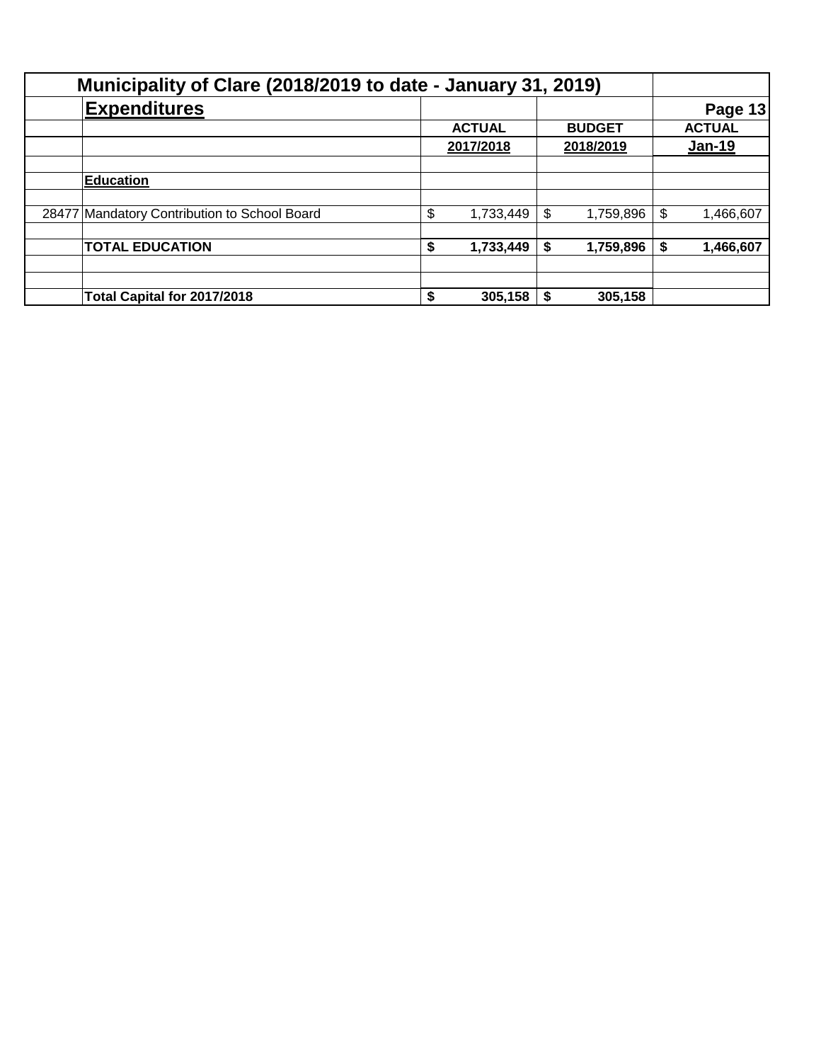| Municipality of Clare (2018/2019 to date - January 31, 2019) |                                              |           |               |           |               |        |                |
|--------------------------------------------------------------|----------------------------------------------|-----------|---------------|-----------|---------------|--------|----------------|
|                                                              | <b>Expenditures</b>                          |           |               |           |               |        | <b>Page 13</b> |
|                                                              |                                              |           | <b>ACTUAL</b> |           | <b>BUDGET</b> |        | <b>ACTUAL</b>  |
|                                                              |                                              | 2017/2018 |               | 2018/2019 |               | Jan-19 |                |
|                                                              |                                              |           |               |           |               |        |                |
|                                                              | <b>Education</b>                             |           |               |           |               |        |                |
|                                                              |                                              |           |               |           |               |        |                |
|                                                              | 28477 Mandatory Contribution to School Board | \$        | 1,733,449     | \$        | 1,759,896     | \$     | 1,466,607      |
|                                                              |                                              |           |               |           |               |        |                |
|                                                              | <b>TOTAL EDUCATION</b>                       | S         | 1,733,449     | \$        | 1,759,896     | \$     | 1,466,607      |
|                                                              |                                              |           |               |           |               |        |                |
|                                                              |                                              |           |               |           |               |        |                |
|                                                              | Total Capital for 2017/2018                  | \$        | 305,158       |           | 305,158       |        |                |